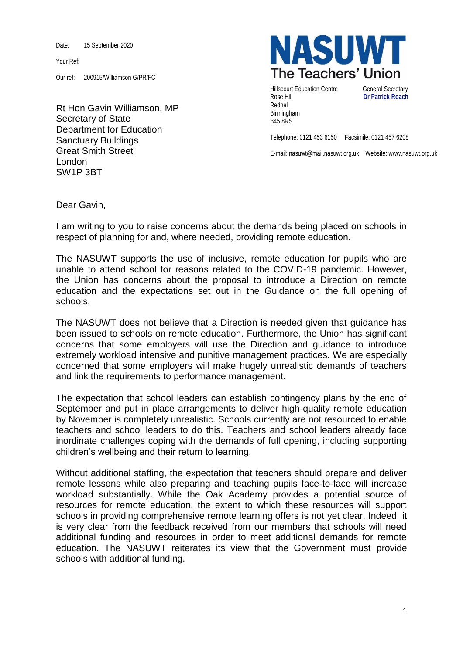Date: 15 September 2020

Your Ref:

Our ref: 200915/Williamson G/PR/FC

Rt Hon Gavin Williamson, MP Secretary of State Department for Education Sanctuary Buildings Great Smith Street London SW1P 3BT



Hillscourt Education Centre **General Secretary** Rose Hill **Dr Patrick Roach** Rednal Birmingham B45 8RS

Telephone: 0121 453 6150 Facsimile: 0121 457 6208

E-mail: nasuwt@mail.nasuwt.org.uk Website: www.nasuwt.org.uk

Dear Gavin,

I am writing to you to raise concerns about the demands being placed on schools in respect of planning for and, where needed, providing remote education.

The NASUWT supports the use of inclusive, remote education for pupils who are unable to attend school for reasons related to the COVID-19 pandemic. However, the Union has concerns about the proposal to introduce a Direction on remote education and the expectations set out in the Guidance on the full opening of schools.

The NASUWT does not believe that a Direction is needed given that guidance has been issued to schools on remote education. Furthermore, the Union has significant concerns that some employers will use the Direction and guidance to introduce extremely workload intensive and punitive management practices. We are especially concerned that some employers will make hugely unrealistic demands of teachers and link the requirements to performance management.

The expectation that school leaders can establish contingency plans by the end of September and put in place arrangements to deliver high-quality remote education by November is completely unrealistic. Schools currently are not resourced to enable teachers and school leaders to do this. Teachers and school leaders already face inordinate challenges coping with the demands of full opening, including supporting children's wellbeing and their return to learning.

Without additional staffing, the expectation that teachers should prepare and deliver remote lessons while also preparing and teaching pupils face-to-face will increase workload substantially. While the Oak Academy provides a potential source of resources for remote education, the extent to which these resources will support schools in providing comprehensive remote learning offers is not yet clear. Indeed, it is very clear from the feedback received from our members that schools will need additional funding and resources in order to meet additional demands for remote education. The NASUWT reiterates its view that the Government must provide schools with additional funding.